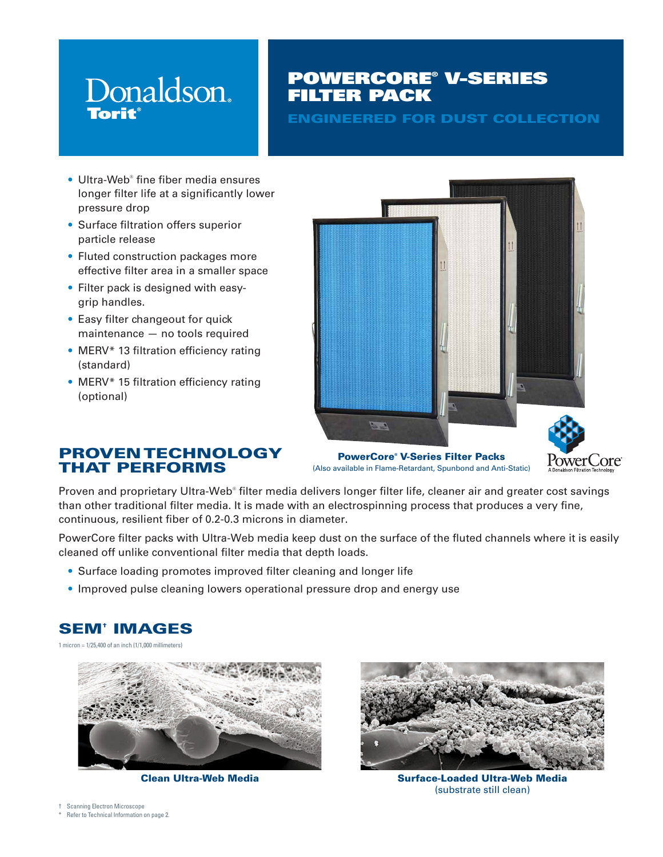# Donaldson. **Torit**

# POWERCORE® V-SERIES FILTER PACK

ENGINEERED FOR DUST COLLECTION

- Ultra-Web® fine fiber media ensures longer filter life at a significantly lower pressure drop
- Surface filtration offers superior particle release
- Fluted construction packages more effective filter area in a smaller space
- Filter pack is designed with easygrip handles.
- Easy filter changeout for quick maintenance — no tools required
- MERV<sup>\*</sup> 13 filtration efficiency rating (standard)
- MERV<sup>\*</sup> 15 filtration efficiency rating (optional)



PowerCore® V-Series Filter Packs (Also available in Flame-Retardant, Spunbond and Anti-Static)



### PROVEN TECHNOLOGY THAT PERFORMS

Proven and proprietary Ultra-Web® filter media delivers longer filter life, cleaner air and greater cost savings than other traditional filter media. It is made with an electrospinning process that produces a very fine, continuous, resilient fiber of 0.2-0.3 microns in diameter.

PowerCore filter packs with Ultra-Web media keep dust on the surface of the fluted channels where it is easily cleaned off unlike conventional filter media that depth loads.

- Surface loading promotes improved filter cleaning and longer life
- Improved pulse cleaning lowers operational pressure drop and energy use

## SEM† IMAGES

1 micron = 1/25,400 of an inch (1/1,000 millimeters)





Clean Ultra-Web Media Surface-Loaded Ultra-Web Media (substrate still clean)

- † Scanning Electron Microscope
- Refer to Technical Information on page 2.